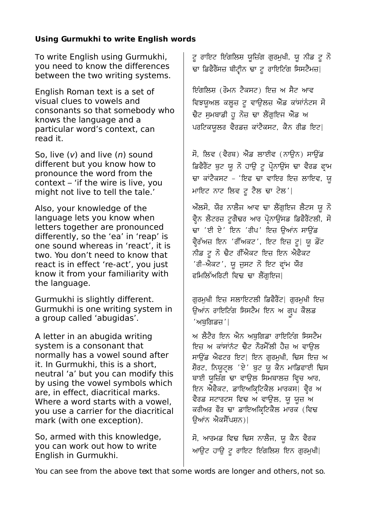# **Using Gurmukhi to write English words**

To write English using Gurmukhi, you need to know the differences between the two writing systems.

English Roman text is a set of visual clues to vowels and consonants so that somebody who knows the language and a particular word's context, can read it.

So, live  $(v)$  and live  $(n)$  sound different but you know how to pronounce the word from the context – 'if the wire is live, you might not live to tell the tale.'

Also, your knowledge of the language lets you know when letters together are pronounced differently, so the 'ea' in 'reap' is one sound whereas in 'react', it is two. You don't need to know that react is in effect 're-act', you just know it from your familiarity with the language.

Gurmukhi is slightly different. Gurmukhi is one writing system in a group called 'abugidas'.

A letter in an abugida writing system is a consonant that normally has a vowel sound after it. In Gurmukhi, this is a short, neutral 'a' but you can modify this by using the vowel symbols which are, in effect, diacritical marks. Where a word starts with a vowel. you use a carrier for the diacritical mark (with one exception).

So, armed with this knowledge, you can work out how to write English in Gurmukhi.

ਟੂ ਰਾਇਟ ਇੰਗਿਿਸ਼ ਯੂਿਿੰਗ ਗੁਰਮੁਖੀ, ਯੂ ਨੀਡ ਟੂ ਨੋ ਢਾ ਡਿਫੈਰੈਂਸਜ਼ ਬੀਟ੍ਰੀਨ ਢਾ ਟੂ ਰਾਇਟਿੰਗ ਸਿਸਟੈਮਜ਼|

ਇੰਗਲਿਸ਼ (ਰੋਮਨ ਟੈਕਸਟ) ਇਜ਼ ਅ ਸੈਟ ਆਵ ਵਿਝਯੂਅਲ ਕਲੂਜ਼ ਟੂ ਵਾਉਲਜ਼ ਐਂਡ ਕਾਂਸਾਂਨੰਟਸ ਸੋ ਢੈਟ ਸਮਬਾਡੀ ਹੂ ਨੋਜ਼ ਢਾ ਲੈਂਗਇਜ ਐਂਡ ਅ ਪਰਟਿਕਯੂਲਰ ਵੈਰਡਜ਼ ਕਾਂਟੈਕਸਟ, ਕੈਨ ਰੀਡ ਇਟ।

ਸੋ, ਲਿਵ (ਵੈਰਬ) ਐਂਡ ਲਾਈਵ (ਨਾਉਨ) ਸਾਉਂਡ ਡਿਫੈਰੈਂਟ ਬੁਟ ਯੂ ਨੋ ਹਾਊ ਟੂ ਪੋਨਾਊਂਸ ਢਾ ਵੈਰਡ ਫਾਮ ਢਾ ਕਾਂਟੈਕਸਟ - 'ਇਫ ਢਾ ਵਾਇਰ ਇਜ਼ ਲਾਇਵ, ਯ ਮਾਇਟ ਨਾਟ ਲਿਵ ਟੂ ਟੈਲ ਢਾ ਟੇਲ'|

ਔਿਸੋ, ਯੌਰ ਨਾਿੈਜ ਆਵ ਢਾ ਿੈਗੁਇਜ ਿੈਟਸ ਯੂ ਨੋ ਵੈਨ ਲੈਟਰਜ਼ ਟੂਗੈਢਰ ਆਰ ਪੋਨਾਉਂਸਡ ਡਿਫੈਰੈਂਟਲੀ, ਸੋ ਢਾ 'ਈ ਏ' ਇਨ 'ਰੀਪ' ਇਜ਼ ਉਆਂਨ ਸਾਉਂਡ ਵੈਰੱਅਜ਼ ਇਨ 'ਰੀੱਅਕਟ', ਇਟ ਇਜ਼ ਟੂ| ਯੂ ਡੋਂਟ ਨੀਡ ਟੂ ਨੋ ਢੈਟ ਰੀੱਐਕਟ ਇਜ਼ ਇਨ ਐਫੈਕਟ 'ਰੀ-ਐਕਟ', ਯੂ ਜੁਸਟ ਨੋ ਇਟ ਫਰਾਂਮ ਯੌਰ ਫਿਮਿਿੱਅਿਰਟੀ ਿਵਢ ਢਾ ਿੈਗੁਇਜ|

ਗੁਰਮੁਖੀ ਇਜ਼ ਸਲਾਇਟਲੀ ਡਿਫੈਰੈਂਟ| ਗੁਰਮੁਖੀ ਇਜ਼ ਉਆਂਨ ਰਾਇਟਿੰਗ ਸਿਸਟੈਮ ਇਨ ਅ ਗ੍ਰਪ ਕੌਲਡ 'ਅਬੁਿਗਡਿ'|

ਅ ਿੈਟੈਰ ਇਨ ਐਨ ਅਬੁਿਗਡਾ ਰਾਇਿਟੰਗ ਿਸਸਟੈਮ ਇਜ਼ ਅ ਕਾਂਸਾਂਨੰਟ ਢੈਟ ਨੌਰਮੈੱਲੀ ਹੈਜ਼ ਅ ਵਾਉਲ ਸਾਉਂਡ ਐਫਟਰ ਇਟ| ਇਨ ਗੁਰਮੁਖੀ, ਢਿਸ ਇਜ਼ ਅ ਸ਼ੌਰਟ, ਨਿਯੂਟਲ 'ਏ' ਬੂਟ ਯੂ ਕੈਨ ਮਾਡਿਫਾਈ ਢਿਸ ਬਾਈ ਯੂਜ਼ਿੰਗ ਢਾ ਵਾਉਲ ਸਿਮਬਾਲਜ਼ ਵਿਚ ਆਰ, ਇਨ ਐਫੈਕਟ, ਡਾਇਅਕਿਟਿਕੈਲ ਮਾਰਕਸ| ਵੈਰ ਅ ਵੈਰਡ ਸਟਾਰਟਸ ਵਿਢ ਅ ਵਾਉਲ, ਯੂ ਯੂਜ਼ ਅ ਕਰੀਅਰ ਫੌਰ ਢਾ ਡਾਇਅਕਿਟਿਕੈਲ ਮਾਰਕ (ਵਿਢ ਉਆਂਨ ਐਕਸੈੱਪਸ਼ਨ)|

ਸੋ, ਆਰਮਡ ਵਿਢ ਢਿਸ ਨਾਲੈਜ, ਯੂ ਕੈਨ ਵੈਰਕ ਆਉਟ ਹਾਉ ਟੂ ਰਾਇਟ ਇੰਗਿਿਸ਼ ਇਨ ਗੁਰਮੁਖੀ|

You can see from the above text that some words are longer and others, not so.